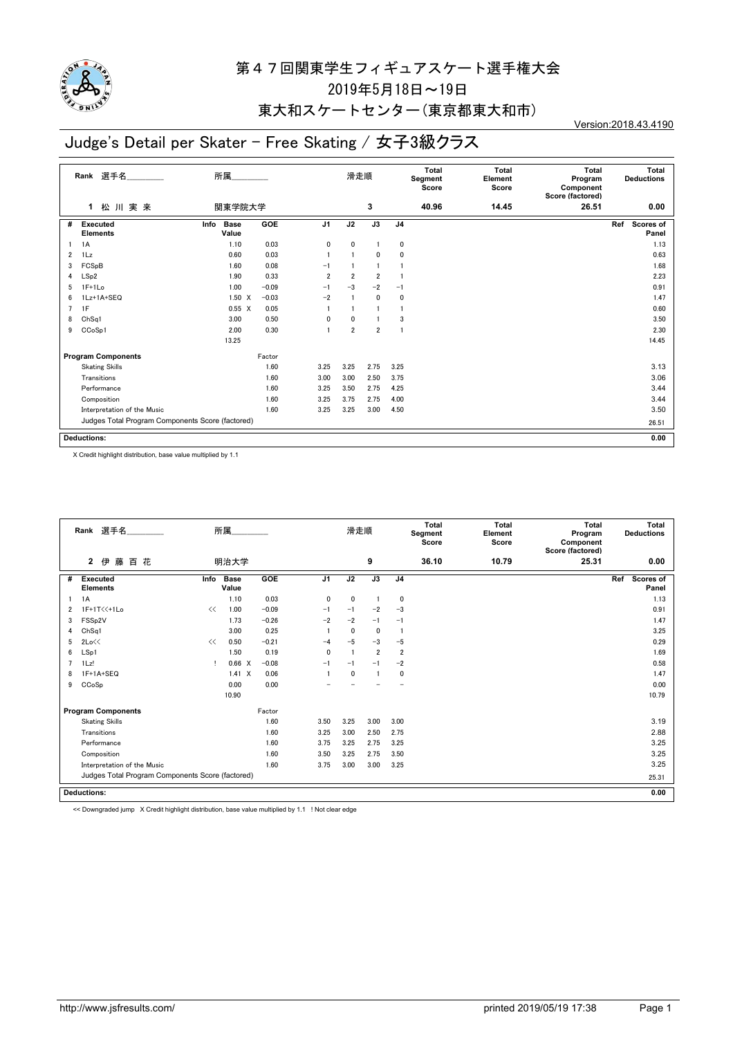

### 東大和スケートセンター(東京都東大和市)

## Judge's Detail per Skater - Free Skating / 女子3級クラス

Version:2018.43.4190

|                | 選手名<br>Rank                                      | 所属                           |            |                | 滑走順            |                 |                | <b>Total</b><br>Segment<br>Score | <b>Total</b><br>Element<br>Score | <b>Total</b><br>Program<br>Component<br>Score (factored) | Total<br><b>Deductions</b> |
|----------------|--------------------------------------------------|------------------------------|------------|----------------|----------------|-----------------|----------------|----------------------------------|----------------------------------|----------------------------------------------------------|----------------------------|
|                | 松川実来<br>$\mathbf{1}$                             | 関東学院大学                       |            |                |                | 3               |                | 40.96                            | 14.45                            | 26.51                                                    | 0.00                       |
| #              | Executed<br><b>Elements</b>                      | Info<br><b>Base</b><br>Value | <b>GOE</b> | J <sub>1</sub> | J2             | $\overline{J3}$ | J <sub>4</sub> |                                  |                                  |                                                          | Ref<br>Scores of<br>Panel  |
|                | 1A                                               | 1.10                         | 0.03       | $\mathbf 0$    | 0              |                 | 0              |                                  |                                  |                                                          | 1.13                       |
| $\overline{2}$ | $1\mathsf{L}z$                                   | 0.60                         | 0.03       |                |                | $\mathbf{0}$    | $\mathbf{0}$   |                                  |                                  |                                                          | 0.63                       |
| 3              | FCSpB                                            | 1.60                         | 0.08       | $-1$           |                |                 |                |                                  |                                  |                                                          | 1.68                       |
| 4              | LSp2                                             | 1.90                         | 0.33       | $\overline{2}$ | $\overline{2}$ | $\overline{2}$  |                |                                  |                                  |                                                          | 2.23                       |
| 5              | $1F+1Lo$                                         | 1.00                         | $-0.09$    | $-1$           | $-3$           | $-2$            | $-1$           |                                  |                                  |                                                          | 0.91                       |
| 6              | 1Lz+1A+SEQ                                       | $1.50 \t X$                  | $-0.03$    | $-2$           |                | $\mathbf{0}$    | 0              |                                  |                                  |                                                          | 1.47                       |
| 7              | 1F                                               | $0.55 \quad X$               | 0.05       |                |                |                 |                |                                  |                                  |                                                          | 0.60                       |
| 8              | ChSq1                                            | 3.00                         | 0.50       | 0              | $\mathbf 0$    |                 | 3              |                                  |                                  |                                                          | 3.50                       |
| 9              | CCoSp1                                           | 2.00                         | 0.30       |                | $\overline{2}$ | $\overline{2}$  | $\overline{1}$ |                                  |                                  |                                                          | 2.30                       |
|                |                                                  | 13.25                        |            |                |                |                 |                |                                  |                                  |                                                          | 14.45                      |
|                | <b>Program Components</b>                        |                              | Factor     |                |                |                 |                |                                  |                                  |                                                          |                            |
|                | <b>Skating Skills</b>                            |                              | 1.60       | 3.25           | 3.25           | 2.75            | 3.25           |                                  |                                  |                                                          | 3.13                       |
|                | Transitions                                      |                              | 1.60       | 3.00           | 3.00           | 2.50            | 3.75           |                                  |                                  |                                                          | 3.06                       |
|                | Performance                                      |                              | 1.60       | 3.25           | 3.50           | 2.75            | 4.25           |                                  |                                  |                                                          | 3.44                       |
|                | Composition                                      |                              | 1.60       | 3.25           | 3.75           | 2.75            | 4.00           |                                  |                                  |                                                          | 3.44                       |
|                | Interpretation of the Music                      |                              | 1.60       | 3.25           | 3.25           | 3.00            | 4.50           |                                  |                                  |                                                          | 3.50                       |
|                | Judges Total Program Components Score (factored) |                              |            |                |                |                 |                |                                  |                                  |                                                          | 26.51                      |
|                |                                                  |                              |            |                |                |                 |                |                                  |                                  |                                                          |                            |
|                | <b>Deductions:</b>                               |                              |            |                |                |                 |                |                                  |                                  |                                                          | 0.00                       |

X Credit highlight distribution, base value multiplied by 1.1

|                | Rank 選手名                                         |      | 所属                   |         |                | 滑走順          |                |                | Total<br>Segment<br>Score | Total<br>Element<br>Score | Total<br>Program<br>Component<br>Score (factored) | Total<br><b>Deductions</b> |
|----------------|--------------------------------------------------|------|----------------------|---------|----------------|--------------|----------------|----------------|---------------------------|---------------------------|---------------------------------------------------|----------------------------|
|                | 藤<br>$\overline{2}$<br>伊<br>百花                   |      | 明治大学                 |         |                |              | 9              |                | 36.10                     | 10.79                     | 25.31                                             | 0.00                       |
| #              | <b>Executed</b><br><b>Elements</b>               | Info | <b>Base</b><br>Value | GOE     | J <sub>1</sub> | J2           | J3             | J <sub>4</sub> |                           |                           |                                                   | Ref<br>Scores of<br>Panel  |
|                | 1A                                               |      | 1.10                 | 0.03    | 0              | 0            | -1             | 0              |                           |                           |                                                   | 1.13                       |
| $\overline{2}$ | 1F+1T<<+1Lo                                      | <<   | 1.00                 | $-0.09$ | $-1$           | $-1$         | $-2$           | $-3$           |                           |                           |                                                   | 0.91                       |
| 3              | FSSp2V                                           |      | 1.73                 | $-0.26$ | $-2$           | $-2$         | $-1$           | $-1$           |                           |                           |                                                   | 1.47                       |
| 4              | ChSq1                                            |      | 3.00                 | 0.25    |                | 0            | $\mathbf 0$    |                |                           |                           |                                                   | 3.25                       |
| 5              | 2Lo<<                                            | <<   | 0.50                 | $-0.21$ | $-4$           | $-5$         | $-3$           | $-5$           |                           |                           |                                                   | 0.29                       |
| 6              | LSp1                                             |      | 1.50                 | 0.19    | 0              |              | $\overline{2}$ | $\overline{2}$ |                           |                           |                                                   | 1.69                       |
| 7              | $1\mathsf{L}z!$                                  |      | 0.66 X               | $-0.08$ | $-1$           | $-1$         | $-1$           | $-2$           |                           |                           |                                                   | 0.58                       |
| 8              | 1F+1A+SEQ                                        |      | $1.41 \times$        | 0.06    |                | $\mathbf{0}$ | $\overline{1}$ | 0              |                           |                           |                                                   | 1.47                       |
| 9              | CCoSp                                            |      | 0.00                 | 0.00    |                |              |                |                |                           |                           |                                                   | 0.00                       |
|                |                                                  |      | 10.90                |         |                |              |                |                |                           |                           |                                                   | 10.79                      |
|                | <b>Program Components</b>                        |      |                      | Factor  |                |              |                |                |                           |                           |                                                   |                            |
|                | <b>Skating Skills</b>                            |      |                      | 1.60    | 3.50           | 3.25         | 3.00           | 3.00           |                           |                           |                                                   | 3.19                       |
|                | Transitions                                      |      |                      | 1.60    | 3.25           | 3.00         | 2.50           | 2.75           |                           |                           |                                                   | 2.88                       |
|                | Performance                                      |      |                      | 1.60    | 3.75           | 3.25         | 2.75           | 3.25           |                           |                           |                                                   | 3.25                       |
|                | Composition                                      |      |                      | 1.60    | 3.50           | 3.25         | 2.75           | 3.50           |                           |                           |                                                   | 3.25                       |
|                | Interpretation of the Music                      |      |                      | 1.60    | 3.75           | 3.00         | 3.00           | 3.25           |                           |                           |                                                   | 3.25                       |
|                | Judges Total Program Components Score (factored) |      |                      |         |                |              |                |                |                           |                           |                                                   | 25.31                      |
|                |                                                  |      |                      |         |                |              |                |                |                           |                           |                                                   |                            |
|                | <b>Deductions:</b>                               |      |                      |         |                |              |                |                |                           |                           |                                                   | 0.00                       |

<< Downgraded jump X Credit highlight distribution, base value multiplied by 1.1 ! Not clear edge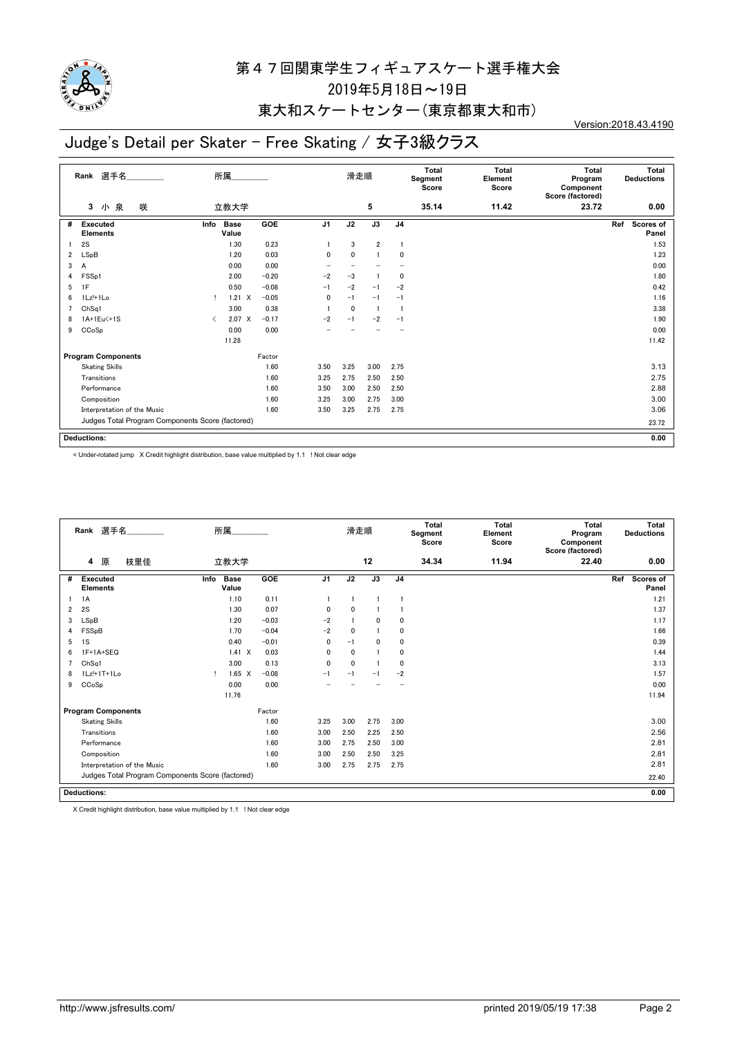

### 東大和スケートセンター(東京都東大和市)

## Judge's Detail per Skater - Free Skating / 女子3級クラス

Version:2018.43.4190

|                | 選手名<br>Rank                                      |                               | 所属                   |            |                | 滑走順          |                |                | <b>Total</b><br>Segment<br>Score | <b>Total</b><br>Element<br>Score | <b>Total</b><br>Program<br>Component<br>Score (factored) | Total<br><b>Deductions</b> |
|----------------|--------------------------------------------------|-------------------------------|----------------------|------------|----------------|--------------|----------------|----------------|----------------------------------|----------------------------------|----------------------------------------------------------|----------------------------|
|                | 小泉<br>咲<br>3                                     |                               | 立教大学                 |            |                |              | 5              |                | 35.14                            | 11.42                            | 23.72                                                    | 0.00                       |
| #              | <b>Executed</b><br><b>Elements</b>               | Info                          | <b>Base</b><br>Value | <b>GOE</b> | J <sub>1</sub> | J2           | J3             | J <sub>4</sub> |                                  |                                  |                                                          | Scores of<br>Ref<br>Panel  |
|                | 2S                                               |                               | 1.30                 | 0.23       |                | 3            | $\overline{2}$ | $\overline{1}$ |                                  |                                  |                                                          | 1.53                       |
| 2              | LSpB                                             |                               | 1.20                 | 0.03       | 0              | 0            |                | 0              |                                  |                                  |                                                          | 1.23                       |
| 3              | A                                                |                               | 0.00                 | 0.00       |                |              |                |                |                                  |                                  |                                                          | 0.00                       |
| 4              | FSSp1                                            |                               | 2.00                 | $-0.20$    | $-2$           | $-3$         |                | 0              |                                  |                                  |                                                          | 1.80                       |
| 5              | 1F                                               |                               | 0.50                 | $-0.08$    | $-1$           | $-2$         | $-1$           | $-2$           |                                  |                                  |                                                          | 0.42                       |
| 6              | 1Lz!+1Lo                                         |                               | 1.21<br>$\mathsf{X}$ | $-0.05$    | 0              | $-1$         | $-1$           | $-1$           |                                  |                                  |                                                          | 1.16                       |
| $\overline{7}$ | Ch <sub>Sq1</sub>                                |                               | 3.00                 | 0.38       |                | $\mathbf{0}$ | $\mathbf{1}$   | -1             |                                  |                                  |                                                          | 3.38                       |
| 8              | 1A+1Eu<+1S                                       | $\overline{\left( \right. }%$ | 2.07 X               | $-0.17$    | $-2$           | $-1$         | $-2$           | $-1$           |                                  |                                  |                                                          | 1.90                       |
| 9              | CCoSp                                            |                               | 0.00                 | 0.00       |                |              |                |                |                                  |                                  |                                                          | 0.00                       |
|                |                                                  |                               | 11.28                |            |                |              |                |                |                                  |                                  |                                                          | 11.42                      |
|                | <b>Program Components</b>                        |                               |                      | Factor     |                |              |                |                |                                  |                                  |                                                          |                            |
|                | <b>Skating Skills</b>                            |                               |                      | 1.60       | 3.50           | 3.25         | 3.00           | 2.75           |                                  |                                  |                                                          | 3.13                       |
|                | Transitions                                      |                               |                      | 1.60       | 3.25           | 2.75         | 2.50           | 2.50           |                                  |                                  |                                                          | 2.75                       |
|                | Performance                                      |                               |                      | 1.60       | 3.50           | 3.00         | 2.50           | 2.50           |                                  |                                  |                                                          | 2.88                       |
|                | Composition                                      |                               |                      | 1.60       | 3.25           | 3.00         | 2.75           | 3.00           |                                  |                                  |                                                          | 3.00                       |
|                | Interpretation of the Music                      |                               |                      | 1.60       | 3.50           | 3.25         | 2.75           | 2.75           |                                  |                                  |                                                          | 3.06                       |
|                | Judges Total Program Components Score (factored) |                               |                      |            |                |              |                |                |                                  |                                  |                                                          |                            |
|                |                                                  |                               |                      |            |                |              |                |                |                                  |                                  |                                                          | 23.72                      |
|                | <b>Deductions:</b>                               |                               |                      |            |                |              |                |                |                                  |                                  |                                                          | 0.00                       |
|                |                                                  |                               |                      |            |                |              |                |                |                                  |                                  |                                                          |                            |

< Under-rotated jump X Credit highlight distribution, base value multiplied by 1.1 ! Not clear edge

|   | Rank 選手名                                         | 所属                           |         |                | 滑走順          |                |                | <b>Total</b><br>Segment<br>Score | <b>Total</b><br>Element<br>Score | Total<br>Program<br>Component<br>Score (factored) | Total<br><b>Deductions</b> |
|---|--------------------------------------------------|------------------------------|---------|----------------|--------------|----------------|----------------|----------------------------------|----------------------------------|---------------------------------------------------|----------------------------|
|   | 原<br>枝里佳<br>4                                    | 立教大学                         |         |                |              | 12             |                | 34.34                            | 11.94                            | 22.40                                             | 0.00                       |
| # | <b>Executed</b><br><b>Elements</b>               | Info<br><b>Base</b><br>Value | GOE     | J <sub>1</sub> | J2           | J3             | J <sub>4</sub> |                                  |                                  |                                                   | Ref<br>Scores of<br>Panel  |
|   | 1A                                               | 1.10                         | 0.11    |                |              |                |                |                                  |                                  |                                                   | 1.21                       |
| 2 | 2S                                               | 1.30                         | 0.07    | $\mathbf{0}$   | $\mathbf{0}$ |                |                |                                  |                                  |                                                   | 1.37                       |
| 3 | LSpB                                             | 1.20                         | $-0.03$ | $-2$           |              | $\mathbf{0}$   | $\mathbf 0$    |                                  |                                  |                                                   | 1.17                       |
| 4 | FSSpB                                            | 1.70                         | $-0.04$ | $-2$           | $\mathbf{0}$ | $\overline{1}$ | $\Omega$       |                                  |                                  |                                                   | 1.66                       |
| 5 | 1S                                               | 0.40                         | $-0.01$ | 0              | $-1$         | $\mathbf{0}$   | 0              |                                  |                                  |                                                   | 0.39                       |
| 6 | 1F+1A+SEQ                                        | $1.41 \times$                | 0.03    | 0              | 0            |                | 0              |                                  |                                  |                                                   | 1.44                       |
| 7 | ChSq1                                            | 3.00                         | 0.13    | $\mathbf{0}$   | $\mathbf{0}$ |                | $\mathbf 0$    |                                  |                                  |                                                   | 3.13                       |
| 8 | 1Lz!+1T+1Lo                                      | $1.65 \quad X$               | $-0.08$ | $-1$           | $-1$         | $-1$           | $-2$           |                                  |                                  |                                                   | 1.57                       |
| 9 | CCoSp                                            | 0.00                         | 0.00    |                |              |                |                |                                  |                                  |                                                   | 0.00                       |
|   |                                                  | 11.76                        |         |                |              |                |                |                                  |                                  |                                                   | 11.94                      |
|   | <b>Program Components</b>                        |                              | Factor  |                |              |                |                |                                  |                                  |                                                   |                            |
|   | <b>Skating Skills</b>                            |                              | 1.60    | 3.25           | 3.00         | 2.75           | 3.00           |                                  |                                  |                                                   | 3.00                       |
|   | Transitions                                      |                              | 1.60    | 3.00           | 2.50         | 2.25           | 2.50           |                                  |                                  |                                                   | 2.56                       |
|   | Performance                                      |                              | 1.60    | 3.00           | 2.75         | 2.50           | 3.00           |                                  |                                  |                                                   | 2.81                       |
|   | Composition                                      |                              | 1.60    | 3.00           | 2.50         | 2.50           | 3.25           |                                  |                                  |                                                   | 2.81                       |
|   | Interpretation of the Music                      |                              | 1.60    | 3.00           | 2.75         | 2.75           | 2.75           |                                  |                                  |                                                   | 2.81                       |
|   | Judges Total Program Components Score (factored) |                              |         |                |              |                |                |                                  |                                  |                                                   | 22.40                      |
|   | <b>Deductions:</b>                               |                              |         |                |              |                |                |                                  |                                  |                                                   | 0.00                       |

X Credit highlight distribution, base value multiplied by 1.1 ! Not clear edge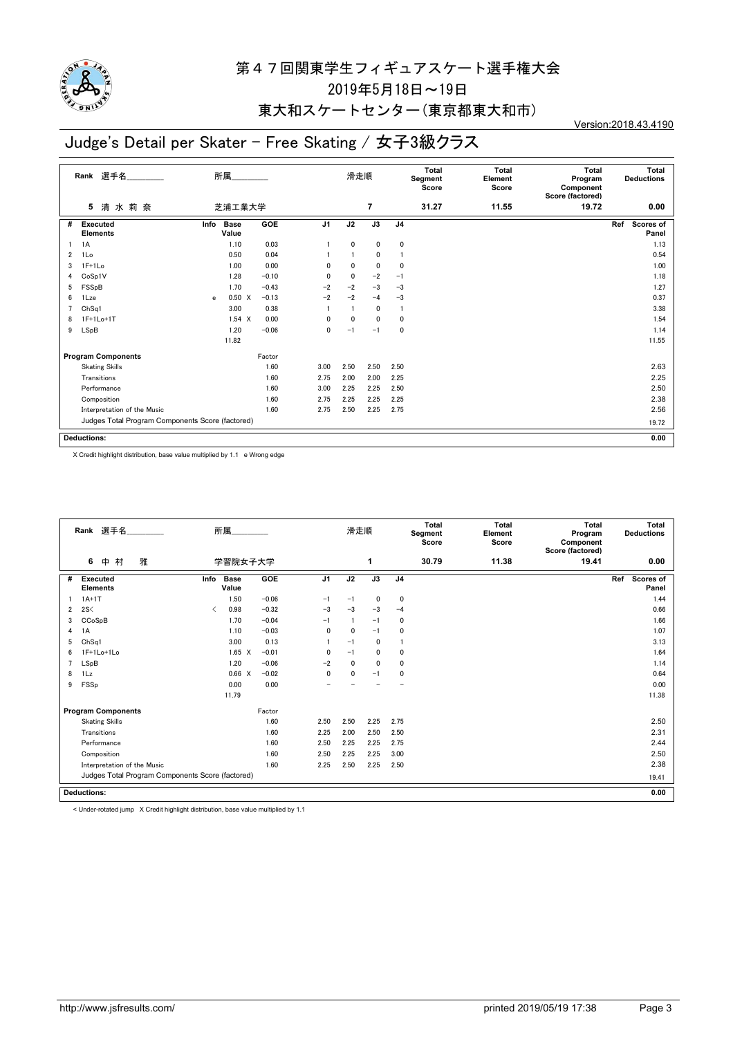

## 東大和スケートセンター(東京都東大和市)

## Judge's Detail per Skater - Free Skating / 女子3級クラス

Version:2018.43.4190

|    | 選手名<br>Rank                                      | 所属                             |         |                | 滑走順          |                          |                | Total<br>Segment<br>Score | <b>Total</b><br>Element<br>Score | <b>Total</b><br>Program<br>Component<br>Score (factored) | <b>Total</b><br><b>Deductions</b> |
|----|--------------------------------------------------|--------------------------------|---------|----------------|--------------|--------------------------|----------------|---------------------------|----------------------------------|----------------------------------------------------------|-----------------------------------|
|    | 清水莉奈<br>5                                        | 芝浦工業大学                         |         |                |              | $\overline{\phantom{a}}$ |                | 31.27                     | 11.55                            | 19.72                                                    | 0.00                              |
| #  | <b>Executed</b><br><b>Elements</b>               | <b>Base</b><br>Info<br>Value   | GOE     | J <sub>1</sub> | J2           | J3                       | J <sub>4</sub> |                           |                                  |                                                          | Scores of<br>Ref<br>Panel         |
| -1 | 1A                                               | 1.10                           | 0.03    |                | $\mathbf{0}$ | $\mathbf{0}$             | 0              |                           |                                  |                                                          | 1.13                              |
| 2  | 1Lo                                              | 0.50                           | 0.04    |                |              | 0                        |                |                           |                                  |                                                          | 0.54                              |
| 3  | $1F+1Lo$                                         | 1.00                           | 0.00    | 0              | 0            | $\mathbf 0$              | 0              |                           |                                  |                                                          | 1.00                              |
| 4  | CoSp1V                                           | 1.28                           | $-0.10$ | 0              | $\mathbf{0}$ | $-2$                     | $-1$           |                           |                                  |                                                          | 1.18                              |
| 5  | FSSpB                                            | 1.70                           | $-0.43$ | $-2$           | $-2$         | $-3$                     | $-3$           |                           |                                  |                                                          | 1.27                              |
| 6  | 1Lze                                             | $0.50 \quad X$<br>$\mathbf{e}$ | $-0.13$ | $-2$           | $-2$         | $-4$                     | $-3$           |                           |                                  |                                                          | 0.37                              |
| 7  | ChSa1                                            | 3.00                           | 0.38    |                |              | 0                        |                |                           |                                  |                                                          | 3.38                              |
| 8  | $1F+1Lo+1T$                                      | $1.54 \times$                  | 0.00    | 0              | $\Omega$     | 0                        | 0              |                           |                                  |                                                          | 1.54                              |
| 9  | LSpB                                             | 1.20                           | $-0.06$ | 0              | $-1$         | $-1$                     | $\mathbf 0$    |                           |                                  |                                                          | 1.14                              |
|    |                                                  | 11.82                          |         |                |              |                          |                |                           |                                  |                                                          | 11.55                             |
|    | <b>Program Components</b>                        |                                | Factor  |                |              |                          |                |                           |                                  |                                                          |                                   |
|    | <b>Skating Skills</b>                            |                                | 1.60    | 3.00           | 2.50         | 2.50                     | 2.50           |                           |                                  |                                                          | 2.63                              |
|    | Transitions                                      |                                | 1.60    | 2.75           | 2.00         | 2.00                     | 2.25           |                           |                                  |                                                          | 2.25                              |
|    | Performance                                      |                                | 1.60    | 3.00           | 2.25         | 2.25                     | 2.50           |                           |                                  |                                                          | 2.50                              |
|    | Composition                                      |                                | 1.60    | 2.75           | 2.25         | 2.25                     | 2.25           |                           |                                  |                                                          | 2.38                              |
|    | Interpretation of the Music                      |                                | 1.60    | 2.75           | 2.50         | 2.25                     | 2.75           |                           |                                  |                                                          | 2.56                              |
|    | Judges Total Program Components Score (factored) |                                |         |                |              |                          |                |                           |                                  |                                                          | 19.72                             |
|    |                                                  |                                |         |                |              |                          |                |                           |                                  |                                                          |                                   |
|    | <b>Deductions:</b>                               |                                |         |                |              |                          |                |                           |                                  |                                                          | 0.00                              |

X Credit highlight distribution, base value multiplied by 1.1 e Wrong edge

|                | Rank 選手名<br>所属                                   |                               |                |         |                | 滑走順          |              |                | Total<br>Segment<br>Score | Total<br>Element<br>Score | Total<br>Program<br>Component<br>Score (factored) | Total<br><b>Deductions</b> |
|----------------|--------------------------------------------------|-------------------------------|----------------|---------|----------------|--------------|--------------|----------------|---------------------------|---------------------------|---------------------------------------------------|----------------------------|
|                | 雅<br>村<br>6<br>中                                 |                               | 学習院女子大学        |         |                |              | 1            |                | 30.79                     | 11.38                     | 19.41                                             | 0.00                       |
| #              | Executed<br><b>Elements</b>                      | Info                          | Base<br>Value  | GOE     | J <sub>1</sub> | J2           | J3           | J <sub>4</sub> |                           |                           |                                                   | Ref<br>Scores of<br>Panel  |
|                | $1A+1T$                                          |                               | 1.50           | $-0.06$ | $-1$           | $-1$         | $\mathbf 0$  | 0              |                           |                           |                                                   | 1.44                       |
| $\overline{2}$ | 2S<                                              | $\overline{\left( \right. }%$ | 0.98           | $-0.32$ | $-3$           | $-3$         | $-3$         | $-4$           |                           |                           |                                                   | 0.66                       |
| 3              | CCoSpB                                           |                               | 1.70           | $-0.04$ | $-1$           |              | $-1$         | $\mathbf 0$    |                           |                           |                                                   | 1.66                       |
| 4              | 1A                                               |                               | 1.10           | $-0.03$ | $\mathbf{0}$   | $\mathbf{0}$ | $-1$         | $\Omega$       |                           |                           |                                                   | 1.07                       |
| 5              | ChSq1                                            |                               | 3.00           | 0.13    |                | $-1$         | $\mathbf{0}$ |                |                           |                           |                                                   | 3.13                       |
| 6              | 1F+1Lo+1Lo                                       |                               | $1.65 \quad X$ | $-0.01$ | $\mathbf{0}$   | $-1$         | $\mathbf 0$  | 0              |                           |                           |                                                   | 1.64                       |
| 7              | LSpB                                             |                               | 1.20           | $-0.06$ | $-2$           | $\mathbf{0}$ | $\mathbf{0}$ | $\mathbf{0}$   |                           |                           |                                                   | 1.14                       |
| 8              | 1 <sub>Lz</sub>                                  |                               | 0.66 X         | $-0.02$ | $\mathbf{0}$   | $\mathbf{0}$ | $-1$         | 0              |                           |                           |                                                   | 0.64                       |
| 9              | FSSp                                             |                               | 0.00           | 0.00    |                |              |              |                |                           |                           |                                                   | 0.00                       |
|                |                                                  |                               | 11.79          |         |                |              |              |                |                           |                           |                                                   | 11.38                      |
|                | <b>Program Components</b>                        |                               |                | Factor  |                |              |              |                |                           |                           |                                                   |                            |
|                | <b>Skating Skills</b>                            |                               |                | 1.60    | 2.50           | 2.50         | 2.25         | 2.75           |                           |                           |                                                   | 2.50                       |
|                | Transitions                                      |                               |                | 1.60    | 2.25           | 2.00         | 2.50         | 2.50           |                           |                           |                                                   | 2.31                       |
|                | Performance                                      |                               |                | 1.60    | 2.50           | 2.25         | 2.25         | 2.75           |                           |                           |                                                   | 2.44                       |
|                | Composition                                      |                               |                | 1.60    | 2.50           | 2.25         | 2.25         | 3.00           |                           |                           |                                                   | 2.50                       |
|                | Interpretation of the Music                      |                               |                | 1.60    | 2.25           | 2.50         | 2.25         | 2.50           |                           |                           |                                                   | 2.38                       |
|                | Judges Total Program Components Score (factored) |                               |                |         |                |              |              |                |                           |                           |                                                   | 19.41                      |
|                |                                                  |                               |                |         |                |              |              |                |                           |                           |                                                   |                            |
|                | <b>Deductions:</b>                               |                               |                |         |                |              |              |                |                           |                           |                                                   | 0.00                       |

< Under-rotated jump X Credit highlight distribution, base value multiplied by 1.1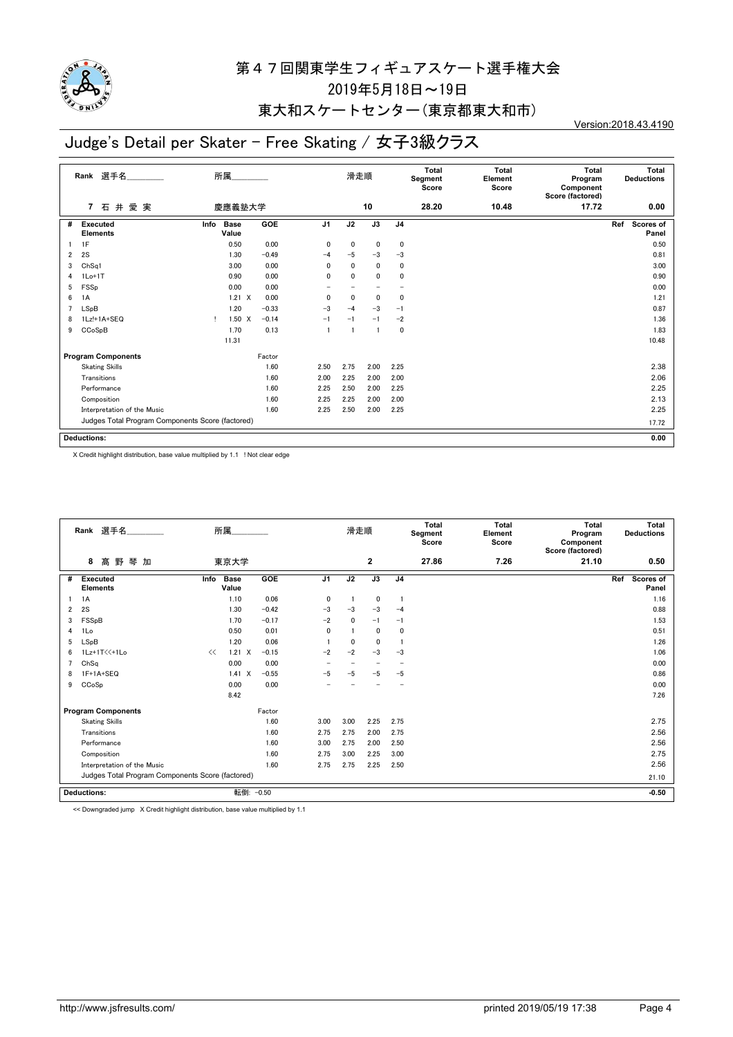

### 東大和スケートセンター(東京都東大和市)

## Judge's Detail per Skater - Free Skating / 女子3級クラス

Version:2018.43.4190

| 17.72 | Total<br><b>Deductions</b><br>Program<br>Component<br>Score (factored) |  |
|-------|------------------------------------------------------------------------|--|
|       | 0.00                                                                   |  |
|       | Scores of<br>Panel                                                     |  |
|       | 0.50                                                                   |  |
|       | 0.81                                                                   |  |
|       | 3.00                                                                   |  |
|       | 0.90                                                                   |  |
|       | 0.00                                                                   |  |
|       | 1.21                                                                   |  |
|       | 0.87                                                                   |  |
|       | 1.36                                                                   |  |
|       | 1.83                                                                   |  |
|       | 10.48                                                                  |  |
|       |                                                                        |  |
|       | 2.38                                                                   |  |
|       | 2.06                                                                   |  |
|       | 2.25                                                                   |  |
|       | 2.13                                                                   |  |
|       | 2.25                                                                   |  |
|       | 17.72                                                                  |  |
|       |                                                                        |  |
|       | 0.00                                                                   |  |
|       | Ref                                                                    |  |

X Credit highlight distribution, base value multiplied by 1.1 ! Not clear edge

|   | Rank 選手名                                         |      | 所属                   |         |                          | 滑走順          |                          |                | Total<br>Segment<br>Score | Total<br>Element<br>Score | Total<br>Program<br>Component<br>Score (factored) | Total<br><b>Deductions</b> |
|---|--------------------------------------------------|------|----------------------|---------|--------------------------|--------------|--------------------------|----------------|---------------------------|---------------------------|---------------------------------------------------|----------------------------|
|   | 髙野<br>8<br>琴 加                                   |      | 東京大学                 |         |                          |              | $\mathbf{2}$             |                | 27.86                     | 7.26                      | 21.10                                             | 0.50                       |
| # | <b>Executed</b><br><b>Elements</b>               | Info | <b>Base</b><br>Value | GOE     | J <sub>1</sub>           | J2           | J3                       | J <sub>4</sub> |                           |                           |                                                   | Scores of<br>Ref<br>Panel  |
|   | 1A                                               |      | 1.10                 | 0.06    | 0                        |              | $\mathbf 0$              | $\overline{1}$ |                           |                           |                                                   | 1.16                       |
| 2 | 2S                                               |      | 1.30                 | $-0.42$ | $-3$                     | $-3$         | $-3$                     | $-4$           |                           |                           |                                                   | 0.88                       |
| 3 | FSSpB                                            |      | 1.70                 | $-0.17$ | $-2$                     | $\mathbf{0}$ | $-1$                     | $-1$           |                           |                           |                                                   | 1.53                       |
| 4 | 1Lo                                              |      | 0.50                 | 0.01    | $\mathbf 0$              |              | $\mathbf 0$              | 0              |                           |                           |                                                   | 0.51                       |
| 5 | LSpB                                             |      | 1.20                 | 0.06    |                          | $\mathbf{0}$ | $\mathbf 0$              |                |                           |                           |                                                   | 1.26                       |
| 6 | 1Lz+1T<<+1Lo                                     | <<   | $1.21 \times$        | $-0.15$ | $-2$                     | $-2$         | $-3$                     | $-3$           |                           |                           |                                                   | 1.06                       |
| 7 | ChSq                                             |      | 0.00                 | 0.00    | $\overline{\phantom{0}}$ |              | $\overline{\phantom{0}}$ |                |                           |                           |                                                   | 0.00                       |
| 8 | 1F+1A+SEQ                                        |      | 1.41<br>X            | $-0.55$ | $-5$                     | -5           | $-5$                     | $-5$           |                           |                           |                                                   | 0.86                       |
| 9 | CCoSp                                            |      | 0.00                 | 0.00    |                          |              |                          |                |                           |                           |                                                   | 0.00                       |
|   |                                                  |      | 8.42                 |         |                          |              |                          |                |                           |                           |                                                   | 7.26                       |
|   | <b>Program Components</b>                        |      |                      | Factor  |                          |              |                          |                |                           |                           |                                                   |                            |
|   | <b>Skating Skills</b>                            |      |                      | 1.60    | 3.00                     | 3.00         | 2.25                     | 2.75           |                           |                           |                                                   | 2.75                       |
|   | Transitions                                      |      |                      | 1.60    | 2.75                     | 2.75         | 2.00                     | 2.75           |                           |                           |                                                   | 2.56                       |
|   | Performance                                      |      |                      | 1.60    | 3.00                     | 2.75         | 2.00                     | 2.50           |                           |                           |                                                   | 2.56                       |
|   | Composition                                      |      |                      | 1.60    | 2.75                     | 3.00         | 2.25                     | 3.00           |                           |                           |                                                   | 2.75                       |
|   | Interpretation of the Music                      |      |                      | 1.60    | 2.75                     | 2.75         | 2.25                     | 2.50           |                           |                           |                                                   | 2.56                       |
|   | Judges Total Program Components Score (factored) |      |                      |         |                          |              |                          |                |                           |                           |                                                   | 21.10                      |
|   | <b>Deductions:</b>                               |      | 転倒: -0.50            |         |                          |              |                          |                |                           |                           |                                                   | $-0.50$                    |

<< Downgraded jump X Credit highlight distribution, base value multiplied by 1.1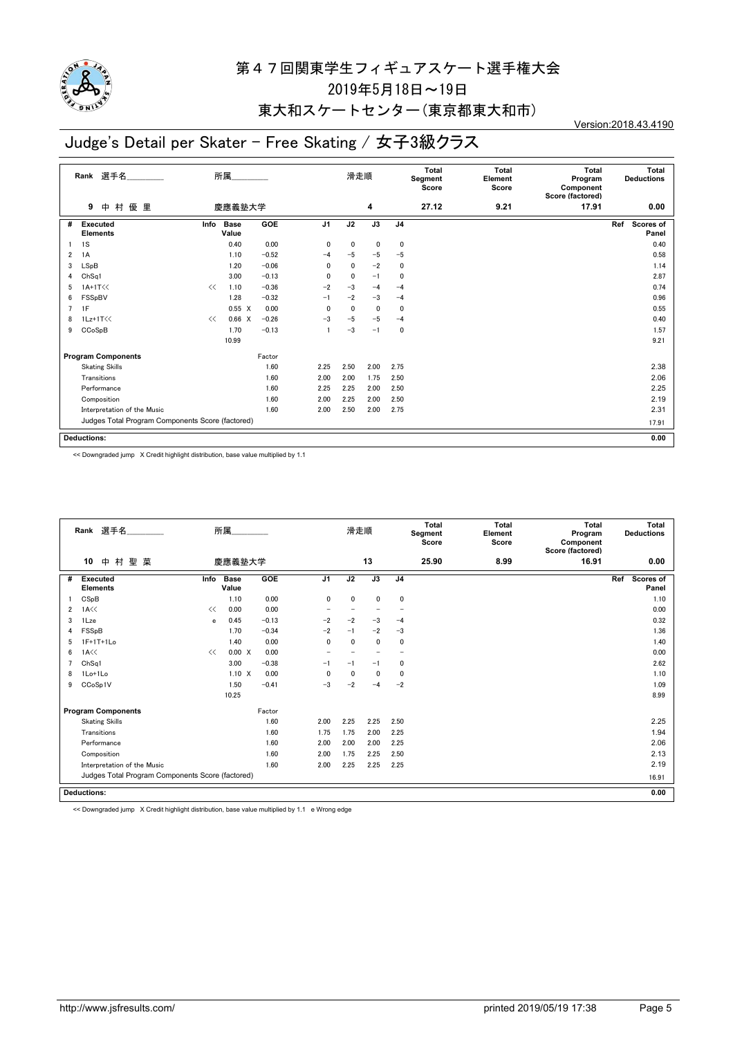

### 東大和スケートセンター(東京都東大和市)

# Judge's Detail per Skater - Free Skating / 女子3級クラス

**9** 中 村 優 里 **Rank** 選手名\_\_\_\_\_\_\_\_\_\_\_\_\_\_ 滑走順 **Total Segment Score Total Element Score Total Program Component Score (factored) Total Deductions** 慶應義塾大学 **4 27.12 9.21 17.91 0.00 Executed Elements** # Executed Info Base GOE J1 J2 J3 J4 Ref Scores of **Panel Info GOE J1 J2 J3 J4 Ref** Program Components **Factor** Judges Total Program Components Score (factored) **Deductions:** 所属\_\_\_\_\_\_\_\_\_\_\_\_\_\_ **0.00** Info Base **Value** 1 1S 0.40 0.00 0 0 0 0 0.40 2 1A 1.10 -0.52 -4 -5 -5 -5 -5 0.58 3 LSpB 1.20 -0.06 0 0 -2 0 1.14 4 ChSq1 3.00 -0.13 0 0 -1 0 2.87  $5$  1A+1T<<  $\ll$  1.10  $-0.36$   $-2$   $-3$   $-4$   $-4$ 6 FSSpBV 1.28 -0.32 -1 -2 -3 -4 0.96 7 1F 0.55 X 0.00 0 0 0 0 0.55 8 1Lz+1T<<  $\ll 0.66$  X  $-0.26$   $-3$   $-5$   $-4$ 9  $CCoSpB$  1.70  $-0.13$  1  $-3$   $-1$  0 **10.99 9.21** Skating Skills 1.60 2.25 2.50 2.00 2.75 2.38 Transitions 1.60 2.00 2.00 1.75 2.50 2.06 Performance 1.60 2.25 2.25 2.00 2.50 2.25 Composition 1.60 2.00 2.25 2.00 2.50 2.19 Interpretation of the Music 2.31 2.31 2.31 2.30 2.40 2.00 2.50 2.00 2.75 **17.91**

<< Downgraded jump X Credit highlight distribution, base value multiplied by 1.1

|                | Rank 選手名<br>所属                                   |      |                      |         |                | 滑走順         |                          |                | <b>Total</b><br>Segment<br>Score | <b>Total</b><br>Element<br>Score | <b>Total</b><br>Program<br>Component<br>Score (factored) | <b>Total</b><br><b>Deductions</b> |
|----------------|--------------------------------------------------|------|----------------------|---------|----------------|-------------|--------------------------|----------------|----------------------------------|----------------------------------|----------------------------------------------------------|-----------------------------------|
|                | 中村聖菜<br>10                                       |      | 慶應義塾大学               |         |                |             | 13                       |                | 25.90                            | 8.99                             | 16.91                                                    | 0.00                              |
| #              | <b>Executed</b><br><b>Elements</b>               | Info | <b>Base</b><br>Value | GOE     | J <sub>1</sub> | J2          | J3                       | J <sub>4</sub> |                                  |                                  |                                                          | Ref<br>Scores of<br>Panel         |
|                | CSpB                                             |      | 1.10                 | 0.00    | $\mathbf 0$    | $\mathbf 0$ | $\mathbf 0$              | $\mathbf 0$    |                                  |                                  |                                                          | 1.10                              |
| $\overline{2}$ | 1A <                                             | <<   | 0.00                 | 0.00    |                |             |                          |                |                                  |                                  |                                                          | 0.00                              |
| 3              | 1Lze                                             | e    | 0.45                 | $-0.13$ | $-2$           | $-2$        | $-3$                     | $-4$           |                                  |                                  |                                                          | 0.32                              |
| 4              | FSSpB                                            |      | 1.70                 | $-0.34$ | $-2$           | $-1$        | $-2$                     | $-3$           |                                  |                                  |                                                          | 1.36                              |
| 5              | 1F+1T+1Lo                                        |      | 1.40                 | 0.00    | 0              | 0           | $\mathbf 0$              | 0              |                                  |                                  |                                                          | 1.40                              |
| 6              | 1A<<                                             | <<   | 0.00 X               | 0.00    |                |             | $\overline{\phantom{0}}$ |                |                                  |                                  |                                                          | 0.00                              |
| 7              | ChSq1                                            |      | 3.00                 | $-0.38$ | $-1$           | $-1$        | $-1$                     | 0              |                                  |                                  |                                                          | 2.62                              |
| 8              | 1Lo+1Lo                                          |      | $1.10 \times$        | 0.00    | 0              | 0           | $\mathbf 0$              | 0              |                                  |                                  |                                                          | 1.10                              |
| 9              | CCoSp1V                                          |      | 1.50                 | $-0.41$ | $-3$           | $-2$        | $-4$                     | $-2$           |                                  |                                  |                                                          | 1.09                              |
|                |                                                  |      | 10.25                |         |                |             |                          |                |                                  |                                  |                                                          | 8.99                              |
|                | <b>Program Components</b>                        |      |                      | Factor  |                |             |                          |                |                                  |                                  |                                                          |                                   |
|                | <b>Skating Skills</b>                            |      |                      | 1.60    | 2.00           | 2.25        | 2.25                     | 2.50           |                                  |                                  |                                                          | 2.25                              |
|                | Transitions                                      |      |                      | 1.60    | 1.75           | 1.75        | 2.00                     | 2.25           |                                  |                                  |                                                          | 1.94                              |
|                | Performance                                      |      |                      | 1.60    | 2.00           | 2.00        | 2.00                     | 2.25           |                                  |                                  |                                                          | 2.06                              |
|                | Composition                                      |      |                      | 1.60    | 2.00           | 1.75        | 2.25                     | 2.50           |                                  |                                  |                                                          | 2.13                              |
|                | Interpretation of the Music                      |      |                      | 1.60    | 2.00           | 2.25        | 2.25                     | 2.25           |                                  |                                  |                                                          | 2.19                              |
|                | Judges Total Program Components Score (factored) |      |                      |         |                |             |                          |                |                                  |                                  |                                                          | 16.91                             |
|                |                                                  |      |                      |         |                |             |                          |                |                                  |                                  |                                                          |                                   |
|                | <b>Deductions:</b>                               |      |                      |         |                |             |                          |                |                                  | 0.00                             |                                                          |                                   |

<< Downgraded jump X Credit highlight distribution, base value multiplied by 1.1 e Wrong edge

Version:2018.43.4190